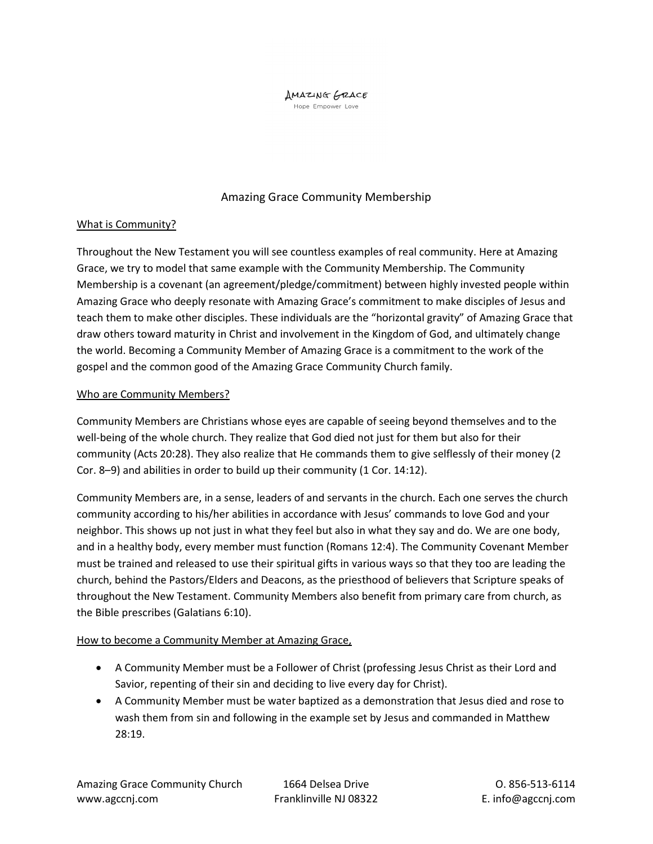# **AMAZING GRACE**

Hope Empower Love

# Amazing Grace Community Membership

# What is Community?

Throughout the New Testament you will see countless examples of real community. Here at Amazing Grace, we try to model that same example with the Community Membership. The Community Membership is a covenant (an agreement/pledge/commitment) between highly invested people within Amazing Grace who deeply resonate with Amazing Grace's commitment to make disciples of Jesus and teach them to make other disciples. These individuals are the "horizontal gravity" of Amazing Grace that draw others toward maturity in Christ and involvement in the Kingdom of God, and ultimately change the world. Becoming a Community Member of Amazing Grace is a commitment to the work of the gospel and the common good of the Amazing Grace Community Church family.

# Who are Community Members?

Community Members are Christians whose eyes are capable of seeing beyond themselves and to the well-being of the whole church. They realize that God died not just for them but also for their community (Acts 20:28). They also realize that He commands them to give selflessly of their money (2 Cor. 8–9) and abilities in order to build up their community (1 Cor. 14:12).

Community Members are, in a sense, leaders of and servants in the church. Each one serves the church community according to his/her abilities in accordance with Jesus' commands to love God and your neighbor. This shows up not just in what they feel but also in what they say and do. We are one body, and in a healthy body, every member must function (Romans 12:4). The Community Covenant Member must be trained and released to use their spiritual gifts in various ways so that they too are leading the church, behind the Pastors/Elders and Deacons, as the priesthood of believers that Scripture speaks of throughout the New Testament. Community Members also benefit from primary care from church, as the Bible prescribes (Galatians 6:10).

### How to become a Community Member at Amazing Grace,

- A Community Member must be a Follower of Christ (professing Jesus Christ as their Lord and Savior, repenting of their sin and deciding to live every day for Christ).
- A Community Member must be water baptized as a demonstration that Jesus died and rose to wash them from sin and following in the example set by Jesus and commanded in Matthew 28:19.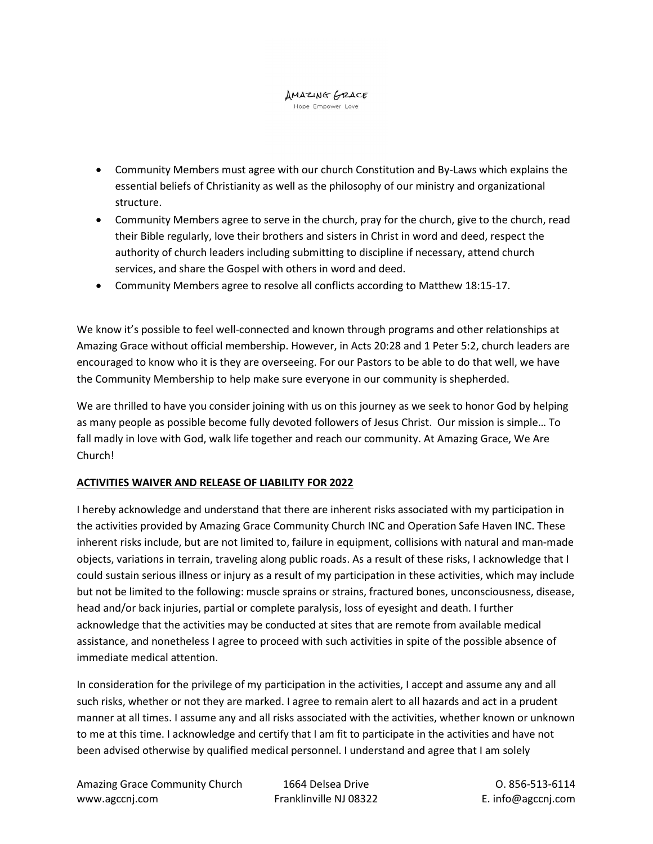#### **AMAZING GRACE** Hope Empower Love

- Community Members must agree with our church Constitution and By-Laws which explains the essential beliefs of Christianity as well as the philosophy of our ministry and organizational structure.
- Community Members agree to serve in the church, pray for the church, give to the church, read their Bible regularly, love their brothers and sisters in Christ in word and deed, respect the authority of church leaders including submitting to discipline if necessary, attend church services, and share the Gospel with others in word and deed.
- Community Members agree to resolve all conflicts according to Matthew 18:15-17.

We know it's possible to feel well-connected and known through programs and other relationships at Amazing Grace without official membership. However, in Acts 20:28 and 1 Peter 5:2, church leaders are encouraged to know who it is they are overseeing. For our Pastors to be able to do that well, we have the Community Membership to help make sure everyone in our community is shepherded.

We are thrilled to have you consider joining with us on this journey as we seek to honor God by helping as many people as possible become fully devoted followers of Jesus Christ. Our mission is simple… To fall madly in love with God, walk life together and reach our community. At Amazing Grace, We Are Church!

# ACTIVITIES WAIVER AND RELEASE OF LIABILITY FOR 2022

I hereby acknowledge and understand that there are inherent risks associated with my participation in the activities provided by Amazing Grace Community Church INC and Operation Safe Haven INC. These inherent risks include, but are not limited to, failure in equipment, collisions with natural and man-made objects, variations in terrain, traveling along public roads. As a result of these risks, I acknowledge that I could sustain serious illness or injury as a result of my participation in these activities, which may include but not be limited to the following: muscle sprains or strains, fractured bones, unconsciousness, disease, head and/or back injuries, partial or complete paralysis, loss of eyesight and death. I further acknowledge that the activities may be conducted at sites that are remote from available medical assistance, and nonetheless I agree to proceed with such activities in spite of the possible absence of immediate medical attention.

In consideration for the privilege of my participation in the activities, I accept and assume any and all such risks, whether or not they are marked. I agree to remain alert to all hazards and act in a prudent manner at all times. I assume any and all risks associated with the activities, whether known or unknown to me at this time. I acknowledge and certify that I am fit to participate in the activities and have not been advised otherwise by qualified medical personnel. I understand and agree that I am solely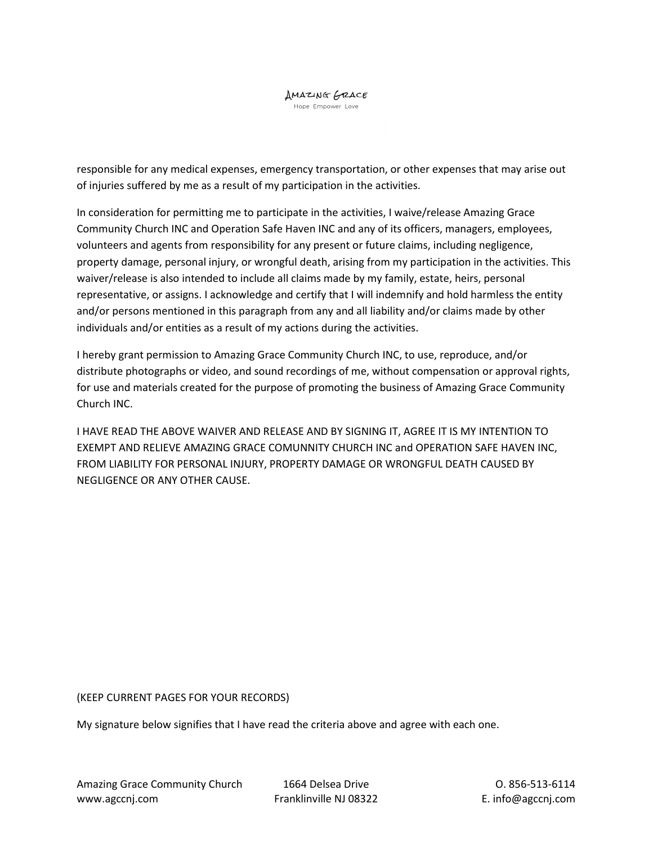responsible for any medical expenses, emergency transportation, or other expenses that may arise out of injuries suffered by me as a result of my participation in the activities.

In consideration for permitting me to participate in the activities, I waive/release Amazing Grace Community Church INC and Operation Safe Haven INC and any of its officers, managers, employees, volunteers and agents from responsibility for any present or future claims, including negligence, property damage, personal injury, or wrongful death, arising from my participation in the activities. This waiver/release is also intended to include all claims made by my family, estate, heirs, personal representative, or assigns. I acknowledge and certify that I will indemnify and hold harmless the entity and/or persons mentioned in this paragraph from any and all liability and/or claims made by other individuals and/or entities as a result of my actions during the activities.

I hereby grant permission to Amazing Grace Community Church INC, to use, reproduce, and/or distribute photographs or video, and sound recordings of me, without compensation or approval rights, for use and materials created for the purpose of promoting the business of Amazing Grace Community Church INC.

I HAVE READ THE ABOVE WAIVER AND RELEASE AND BY SIGNING IT, AGREE IT IS MY INTENTION TO EXEMPT AND RELIEVE AMAZING GRACE COMUNNITY CHURCH INC and OPERATION SAFE HAVEN INC, FROM LIABILITY FOR PERSONAL INJURY, PROPERTY DAMAGE OR WRONGFUL DEATH CAUSED BY NEGLIGENCE OR ANY OTHER CAUSE.

(KEEP CURRENT PAGES FOR YOUR RECORDS)

My signature below signifies that I have read the criteria above and agree with each one.